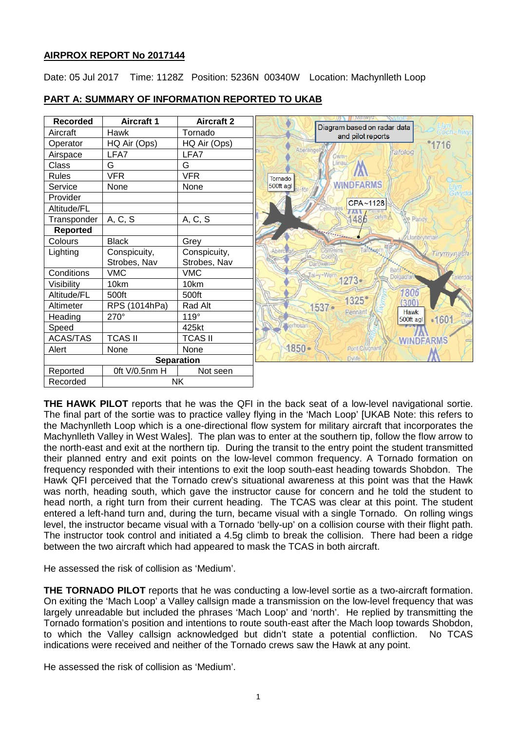# **AIRPROX REPORT No 2017144**

Date: 05 Jul 2017 Time: 1128Z Position: 5236N 00340W Location: Machynlleth Loop



# **PART A: SUMMARY OF INFORMATION REPORTED TO UKAB**

**THE HAWK PILOT** reports that he was the QFI in the back seat of a low-level navigational sortie. The final part of the sortie was to practice valley flying in the 'Mach Loop' [UKAB Note: this refers to the Machynlleth Loop which is a one-directional flow system for military aircraft that incorporates the Machynlleth Valley in West Wales]. The plan was to enter at the southern tip, follow the flow arrow to the north-east and exit at the northern tip. During the transit to the entry point the student transmitted their planned entry and exit points on the low-level common frequency. A Tornado formation on frequency responded with their intentions to exit the loop south-east heading towards Shobdon. The Hawk QFI perceived that the Tornado crew's situational awareness at this point was that the Hawk was north, heading south, which gave the instructor cause for concern and he told the student to head north, a right turn from their current heading. The TCAS was clear at this point. The student entered a left-hand turn and, during the turn, became visual with a single Tornado. On rolling wings level, the instructor became visual with a Tornado 'belly-up' on a collision course with their flight path. The instructor took control and initiated a 4.5g climb to break the collision. There had been a ridge between the two aircraft which had appeared to mask the TCAS in both aircraft.

He assessed the risk of collision as 'Medium'.

**THE TORNADO PILOT** reports that he was conducting a low-level sortie as a two-aircraft formation. On exiting the 'Mach Loop' a Valley callsign made a transmission on the low-level frequency that was largely unreadable but included the phrases 'Mach Loop' and 'north'. He replied by transmitting the Tornado formation's position and intentions to route south-east after the Mach loop towards Shobdon, to which the Valley callsign acknowledged but didn't state a potential confliction. No TCAS indications were received and neither of the Tornado crews saw the Hawk at any point.

He assessed the risk of collision as 'Medium'.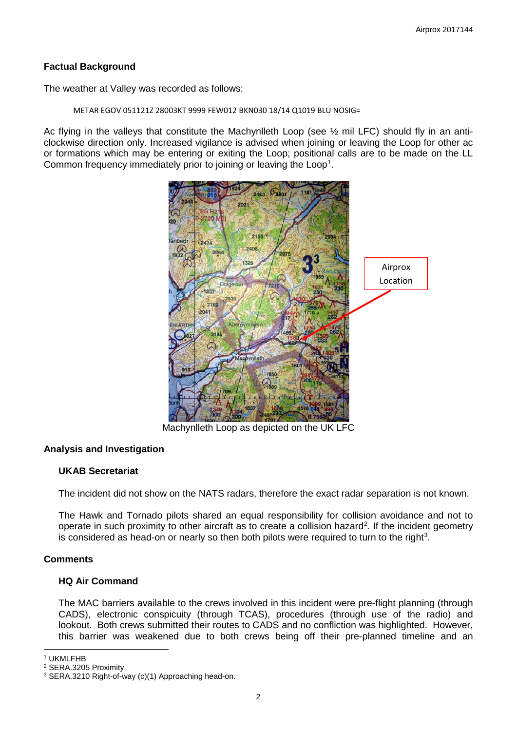# **Factual Background**

The weather at Valley was recorded as follows:

METAR EGOV 051121Z 28003KT 9999 FEW012 BKN030 18/14 Q1019 BLU NOSIG=

Ac flying in the valleys that constitute the Machynlleth Loop (see ½ mil LFC) should fly in an anticlockwise direction only. Increased vigilance is advised when joining or leaving the Loop for other ac or formations which may be entering or exiting the Loop; positional calls are to be made on the LL Common frequency immediately prior to joining or leaving the Loop<sup>[1](#page-1-0)</sup>.



Machynlleth Loop as depicted on the UK LFC

# **Analysis and Investigation**

# **UKAB Secretariat**

The incident did not show on the NATS radars, therefore the exact radar separation is not known.

The Hawk and Tornado pilots shared an equal responsibility for collision avoidance and not to operate in such proximity to other aircraft as to create a collision hazard<sup>[2](#page-1-1)</sup>. If the incident geometry is considered as head-on or nearly so then both pilots were required to turn to the right<sup>[3](#page-1-2)</sup>.

# **Comments**

# **HQ Air Command**

The MAC barriers available to the crews involved in this incident were pre-flight planning (through CADS), electronic conspicuity (through TCAS), procedures (through use of the radio) and lookout. Both crews submitted their routes to CADS and no confliction was highlighted. However, this barrier was weakened due to both crews being off their pre-planned timeline and an

 $\overline{\phantom{a}}$ <sup>1</sup> UKMLFHB

<span id="page-1-1"></span><span id="page-1-0"></span><sup>2</sup> SERA.3205 Proximity.

<span id="page-1-2"></span><sup>3</sup> SERA.3210 Right-of-way (c)(1) Approaching head-on.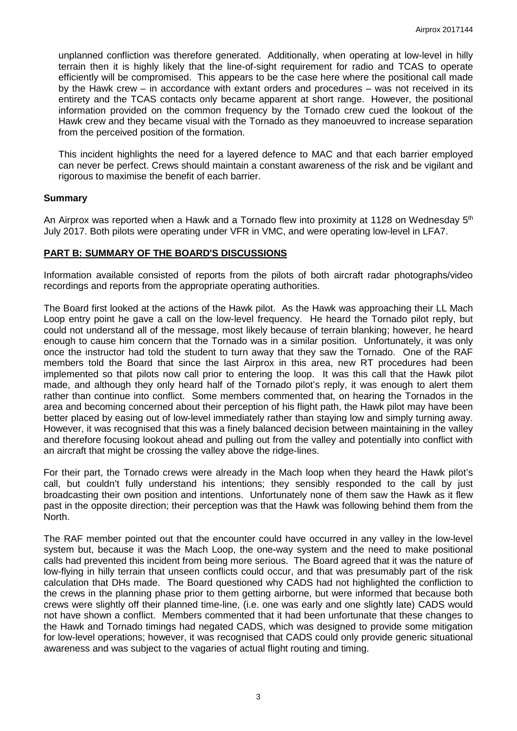unplanned confliction was therefore generated. Additionally, when operating at low-level in hilly terrain then it is highly likely that the line-of-sight requirement for radio and TCAS to operate efficiently will be compromised. This appears to be the case here where the positional call made by the Hawk crew – in accordance with extant orders and procedures – was not received in its entirety and the TCAS contacts only became apparent at short range. However, the positional information provided on the common frequency by the Tornado crew cued the lookout of the Hawk crew and they became visual with the Tornado as they manoeuvred to increase separation from the perceived position of the formation.

This incident highlights the need for a layered defence to MAC and that each barrier employed can never be perfect. Crews should maintain a constant awareness of the risk and be vigilant and rigorous to maximise the benefit of each barrier.

#### **Summary**

An Airprox was reported when a Hawk and a Tornado flew into proximity at 1128 on Wednesdav 5<sup>th</sup> July 2017. Both pilots were operating under VFR in VMC, and were operating low-level in LFA7.

#### **PART B: SUMMARY OF THE BOARD'S DISCUSSIONS**

Information available consisted of reports from the pilots of both aircraft radar photographs/video recordings and reports from the appropriate operating authorities.

The Board first looked at the actions of the Hawk pilot. As the Hawk was approaching their LL Mach Loop entry point he gave a call on the low-level frequency. He heard the Tornado pilot reply, but could not understand all of the message, most likely because of terrain blanking; however, he heard enough to cause him concern that the Tornado was in a similar position. Unfortunately, it was only once the instructor had told the student to turn away that they saw the Tornado. One of the RAF members told the Board that since the last Airprox in this area, new RT procedures had been implemented so that pilots now call prior to entering the loop. It was this call that the Hawk pilot made, and although they only heard half of the Tornado pilot's reply, it was enough to alert them rather than continue into conflict. Some members commented that, on hearing the Tornados in the area and becoming concerned about their perception of his flight path, the Hawk pilot may have been better placed by easing out of low-level immediately rather than staying low and simply turning away. However, it was recognised that this was a finely balanced decision between maintaining in the valley and therefore focusing lookout ahead and pulling out from the valley and potentially into conflict with an aircraft that might be crossing the valley above the ridge-lines.

For their part, the Tornado crews were already in the Mach loop when they heard the Hawk pilot's call, but couldn't fully understand his intentions; they sensibly responded to the call by just broadcasting their own position and intentions. Unfortunately none of them saw the Hawk as it flew past in the opposite direction; their perception was that the Hawk was following behind them from the North.

The RAF member pointed out that the encounter could have occurred in any valley in the low-level system but, because it was the Mach Loop, the one-way system and the need to make positional calls had prevented this incident from being more serious. The Board agreed that it was the nature of low-flying in hilly terrain that unseen conflicts could occur, and that was presumably part of the risk calculation that DHs made. The Board questioned why CADS had not highlighted the confliction to the crews in the planning phase prior to them getting airborne, but were informed that because both crews were slightly off their planned time-line, (i.e. one was early and one slightly late) CADS would not have shown a conflict. Members commented that it had been unfortunate that these changes to the Hawk and Tornado timings had negated CADS, which was designed to provide some mitigation for low-level operations; however, it was recognised that CADS could only provide generic situational awareness and was subject to the vagaries of actual flight routing and timing.